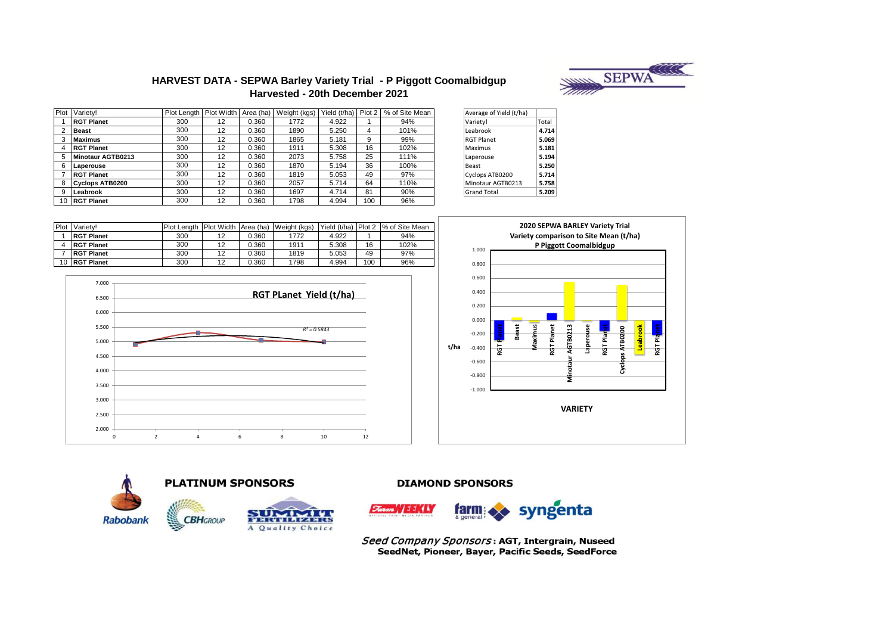

## **HARVEST DATA - SEPWA Barley Variety Trial - P Piggott Coomalbidgup Harvested - 20th December 2021**

| Plot | Variety!               | Plot Length | Plot Width |       | Area (ha)   Weight (kgs) |       |     | Yield (t/ha) Plot 2   % of Site Mean | Average of Yield (t/ha) |       |
|------|------------------------|-------------|------------|-------|--------------------------|-------|-----|--------------------------------------|-------------------------|-------|
|      | <b>RGT Planet</b>      | 300         | 12         | 0.360 | 1772                     | 4.922 |     | 94%                                  | Variety!                | Total |
|      | <b>Beast</b>           | 300         | 12         | 0.360 | 1890                     | 5.250 |     | 101%                                 | Leabrook                | 4.714 |
|      | <b>Maximus</b>         | 300         | 12         | 0.360 | 1865                     | 5.181 | 9   | 99%                                  | <b>RGT Planet</b>       | 5.069 |
|      | <b>RGT Planet</b>      | 300         | 12         | 0.360 | 1911                     | 5.308 | 16  | 102%                                 | Maximus                 | 5.181 |
|      | Minotaur AGTB0213      | 300         | 12         | 0.360 | 2073                     | 5.758 | 25  | 111%                                 | Laperouse               | 5.194 |
|      | Laperouse              | 300         | 12         | 0.360 | 1870                     | 5.194 | 36  | 100%                                 | Beast                   | 5.250 |
|      | <b>RGT Planet</b>      | 300         | 12         | 0.360 | 1819                     | 5.053 | 49  | 97%                                  | Cyclops ATB0200         | 5.714 |
|      | <b>Cyclops ATB0200</b> | 300         | 12         | 0.360 | 2057                     | 5.714 | 64  | 110%                                 | Minotaur AGTB0213       | 5.758 |
|      | Leabrook               | 300         | 12         | 0.360 | 1697                     | 4.714 | 81  | 90%                                  | <b>Grand Total</b>      | 5.209 |
| 10   | <b>RGT Planet</b>      | 300         | 12         | 0.360 | 1798                     | 4.994 | 100 | 96%                                  |                         |       |

| Average of Yield (t/ha) |       |
|-------------------------|-------|
| Variety!                | Total |
| Leabrook                | 4.714 |
| <b>RGT Planet</b>       | 5.069 |
| Maximus                 | 5.181 |
| Laperouse               | 5.194 |
| Reast                   | 5.250 |
| Cyclops ATB0200         | 5.714 |
| Minotaur AGTB0213       | 5.758 |
| <b>Grand Total</b>      | 5.209 |

| Plot | Variety!          | <b>Plot Lenath</b> |    |       | Plot Width Area (ha) Weight (kgs) |       |     | l Yield (t/ha) I Plot 2 1% of Site Mean |
|------|-------------------|--------------------|----|-------|-----------------------------------|-------|-----|-----------------------------------------|
|      | <b>RGT Planet</b> | 300                |    | 0.360 | 1772                              | 4.922 |     | 94%                                     |
|      | <b>RGT Planet</b> | 300                | 12 | 0.360 | 1911                              | 5.308 | 16  | 102%                                    |
|      | <b>RGT Planet</b> | 300                | 12 | 0.360 | 1819                              | 5.053 | 49  | 97%                                     |
| 10   | <b>RGT Planet</b> | 300                | 12 | 0.360 | 1798                              | 4.994 | 100 | 96%                                     |









A Quality Choice

**DIAMOND SPONSORS** 



Seed Company Sponsors: AGT, Intergrain, Nuseed SeedNet, Pioneer, Bayer, Pacific Seeds, SeedForce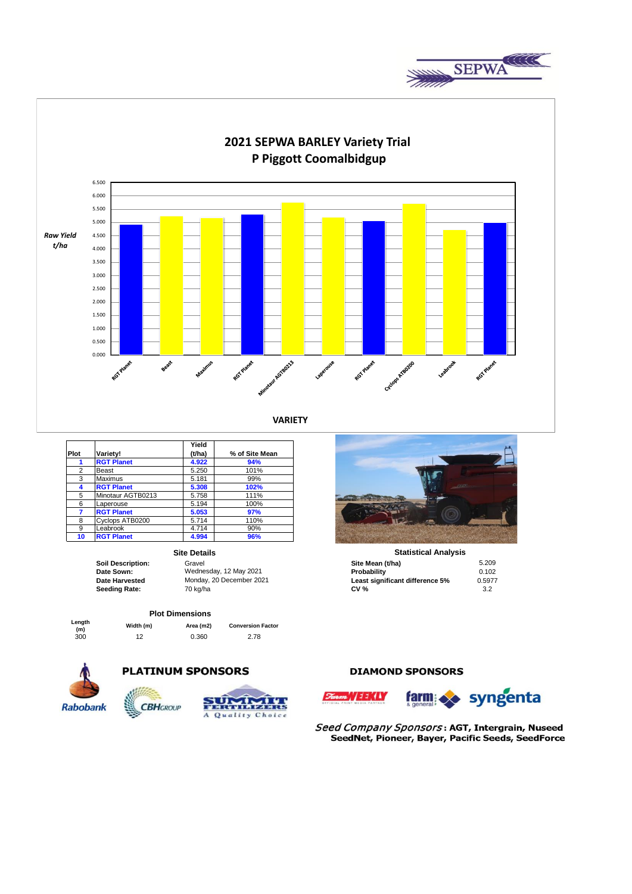



**VARIETY**

|      |                   | Yield  |                |
|------|-------------------|--------|----------------|
| Plot | Variety!          | (t/ha) | % of Site Mean |
| 1    | <b>RGT Planet</b> | 4.922  | 94%            |
| 2    | Beast             | 5.250  | 101%           |
| 3    | <b>Maximus</b>    | 5.181  | 99%            |
| 4    | <b>RGT Planet</b> | 5.308  | 102%           |
| 5    | Minotaur AGTB0213 | 5.758  | 111%           |
| 6    | Laperouse         | 5.194  | 100%           |
| 7    | <b>RGT Planet</b> | 5.053  | 97%            |
| 8    | Cyclops ATB0200   | 5.714  | 110%           |
| 9    | Leabrook          | 4.714  | 90%            |
| 10   | <b>RGT Planet</b> | 4.994  | 96%            |

### **Site Details**

#### **Plot Dimensions**

**Length** 

**(m) Width (m) Area (m2) Conversion Factor** 300 12 0.360 2.78



# **PLATINUM SPONSORS**

**CBH**GROUP



## **DIAMOND SPONSORS**





Seed Company Sponsors: AGT, Intergrain, Nuseed SeedNet, Pioneer, Bayer, Pacific Seeds, SeedForce



**Statistical Analysis** 

| <b>Soil Description:</b> | Gravel                   | Site Mean (t/ha)                | 5.209  |
|--------------------------|--------------------------|---------------------------------|--------|
| Date Sown:               | Wednesday, 12 May 2021   | Probability                     | 0.102  |
| Date Harvested           | Monday, 20 December 2021 | Least significant difference 5% | 0.5977 |
| Seeding Rate:            | 70 ka/ha                 | <b>CV %</b>                     |        |